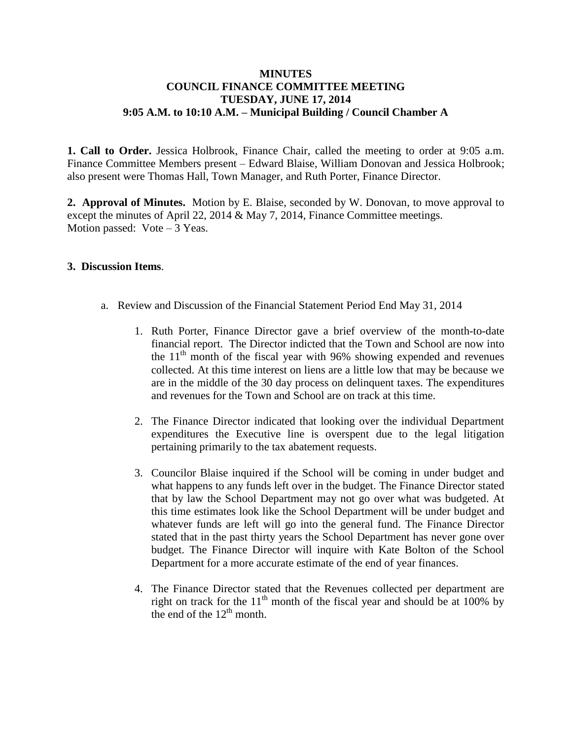## **MINUTES COUNCIL FINANCE COMMITTEE MEETING TUESDAY, JUNE 17, 2014 9:05 A.M. to 10:10 A.M. – Municipal Building / Council Chamber A**

**1. Call to Order.** Jessica Holbrook, Finance Chair, called the meeting to order at 9:05 a.m. Finance Committee Members present – Edward Blaise, William Donovan and Jessica Holbrook; also present were Thomas Hall, Town Manager, and Ruth Porter, Finance Director.

**2. Approval of Minutes.** Motion by E. Blaise, seconded by W. Donovan, to move approval to except the minutes of April 22, 2014 & May 7, 2014, Finance Committee meetings. Motion passed:  $Vote-3 Yeas$ .

## **3. Discussion Items**.

- a. Review and Discussion of the Financial Statement Period End May 31, 2014
	- 1. Ruth Porter, Finance Director gave a brief overview of the month-to-date financial report. The Director indicted that the Town and School are now into the  $11<sup>th</sup>$  month of the fiscal year with 96% showing expended and revenues collected. At this time interest on liens are a little low that may be because we are in the middle of the 30 day process on delinquent taxes. The expenditures and revenues for the Town and School are on track at this time.
	- 2. The Finance Director indicated that looking over the individual Department expenditures the Executive line is overspent due to the legal litigation pertaining primarily to the tax abatement requests.
	- 3. Councilor Blaise inquired if the School will be coming in under budget and what happens to any funds left over in the budget. The Finance Director stated that by law the School Department may not go over what was budgeted. At this time estimates look like the School Department will be under budget and whatever funds are left will go into the general fund. The Finance Director stated that in the past thirty years the School Department has never gone over budget. The Finance Director will inquire with Kate Bolton of the School Department for a more accurate estimate of the end of year finances.
	- 4. The Finance Director stated that the Revenues collected per department are right on track for the  $11<sup>th</sup>$  month of the fiscal year and should be at 100% by the end of the  $12<sup>th</sup>$  month.